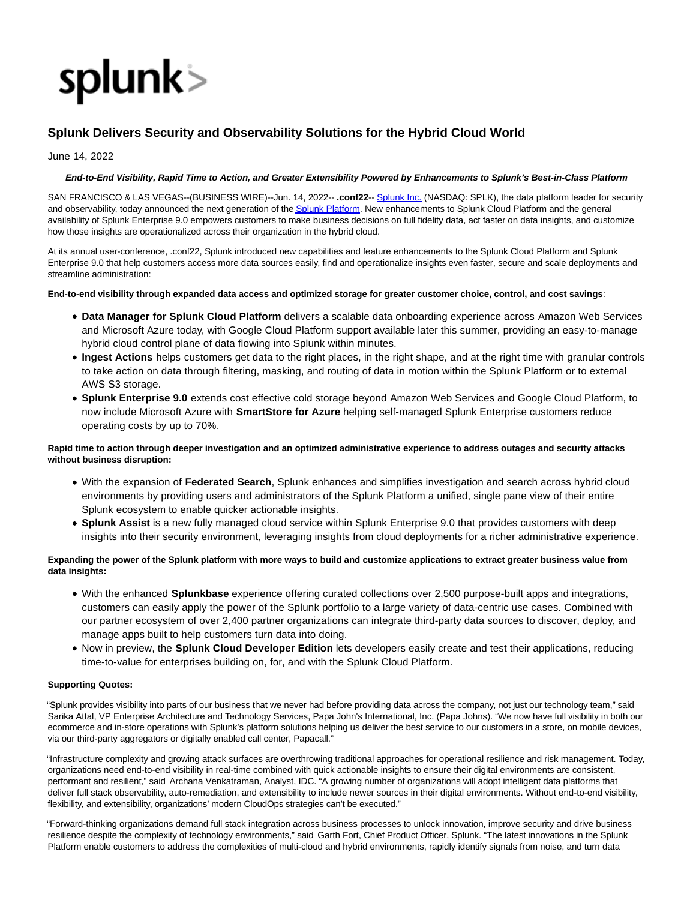

# **Splunk Delivers Security and Observability Solutions for the Hybrid Cloud World**

June 14, 2022

#### **End-to-End Visibility, Rapid Time to Action, and Greater Extensibility Powered by Enhancements to Splunk's Best-in-Class Platform**

SAN FRANCISCO & LAS VEGAS--(BUSINESS WIRE)--Jun. 14, 2022-- **.conf22**-- [Splunk Inc. \(](https://cts.businesswire.com/ct/CT?id=smartlink&url=http%3A%2F%2Fwww.splunk.com%2F&esheet=52748680&newsitemid=20220614005337&lan=en-US&anchor=Splunk+Inc.&index=1&md5=8e40c258c87cbcea9d0ed88f3d0989d5)NASDAQ: SPLK), the data platform leader for security and observability, today announced the next generation of th[e Splunk Platform.](https://cts.businesswire.com/ct/CT?id=smartlink&url=https%3A%2F%2Fwww.splunk.com%2Fen_us%2Fproducts%2Fplatform.html&esheet=52748680&newsitemid=20220614005337&lan=en-US&anchor=Splunk+Platform&index=2&md5=fe2c6fd8e544f9418169c3b5ed5d11e8) New enhancements to Splunk Cloud Platform and the general availability of Splunk Enterprise 9.0 empowers customers to make business decisions on full fidelity data, act faster on data insights, and customize how those insights are operationalized across their organization in the hybrid cloud.

At its annual user-conference, .conf22, Splunk introduced new capabilities and feature enhancements to the Splunk Cloud Platform and Splunk Enterprise 9.0 that help customers access more data sources easily, find and operationalize insights even faster, secure and scale deployments and streamline administration:

#### **End-to-end visibility through expanded data access and optimized storage for greater customer choice, control, and cost savings**:

- **Data Manager for Splunk Cloud Platform** delivers a scalable data onboarding experience across Amazon Web Services and Microsoft Azure today, with Google Cloud Platform support available later this summer, providing an easy-to-manage hybrid cloud control plane of data flowing into Splunk within minutes.
- **Ingest Actions** helps customers get data to the right places, in the right shape, and at the right time with granular controls to take action on data through filtering, masking, and routing of data in motion within the Splunk Platform or to external AWS S3 storage.
- **Splunk Enterprise 9.0** extends cost effective cold storage beyond Amazon Web Services and Google Cloud Platform, to now include Microsoft Azure with **SmartStore for Azure** helping self-managed Splunk Enterprise customers reduce operating costs by up to 70%.

## **Rapid time to action through deeper investigation and an optimized administrative experience to address outages and security attacks without business disruption:**

- With the expansion of **Federated Search**, Splunk enhances and simplifies investigation and search across hybrid cloud environments by providing users and administrators of the Splunk Platform a unified, single pane view of their entire Splunk ecosystem to enable quicker actionable insights.
- **Splunk Assist** is a new fully managed cloud service within Splunk Enterprise 9.0 that provides customers with deep insights into their security environment, leveraging insights from cloud deployments for a richer administrative experience.

# **Expanding the power of the Splunk platform with more ways to build and customize applications to extract greater business value from data insights:**

- With the enhanced **Splunkbase** experience offering curated collections over 2,500 purpose-built apps and integrations, customers can easily apply the power of the Splunk portfolio to a large variety of data-centric use cases. Combined with our partner ecosystem of over 2,400 partner organizations can integrate third-party data sources to discover, deploy, and manage apps built to help customers turn data into doing.
- Now in preview, the **Splunk Cloud Developer Edition** lets developers easily create and test their applications, reducing time-to-value for enterprises building on, for, and with the Splunk Cloud Platform.

## **Supporting Quotes:**

"Splunk provides visibility into parts of our business that we never had before providing data across the company, not just our technology team," said Sarika Attal, VP Enterprise Architecture and Technology Services, Papa John's International, Inc. (Papa Johns). "We now have full visibility in both our ecommerce and in-store operations with Splunk's platform solutions helping us deliver the best service to our customers in a store, on mobile devices, via our third-party aggregators or digitally enabled call center, Papacall."

"Infrastructure complexity and growing attack surfaces are overthrowing traditional approaches for operational resilience and risk management. Today, organizations need end-to-end visibility in real-time combined with quick actionable insights to ensure their digital environments are consistent, performant and resilient," said Archana Venkatraman, Analyst, IDC. "A growing number of organizations will adopt intelligent data platforms that deliver full stack observability, auto-remediation, and extensibility to include newer sources in their digital environments. Without end-to-end visibility, flexibility, and extensibility, organizations' modern CloudOps strategies can't be executed."

"Forward-thinking organizations demand full stack integration across business processes to unlock innovation, improve security and drive business resilience despite the complexity of technology environments," said Garth Fort, Chief Product Officer, Splunk. "The latest innovations in the Splunk Platform enable customers to address the complexities of multi-cloud and hybrid environments, rapidly identify signals from noise, and turn data